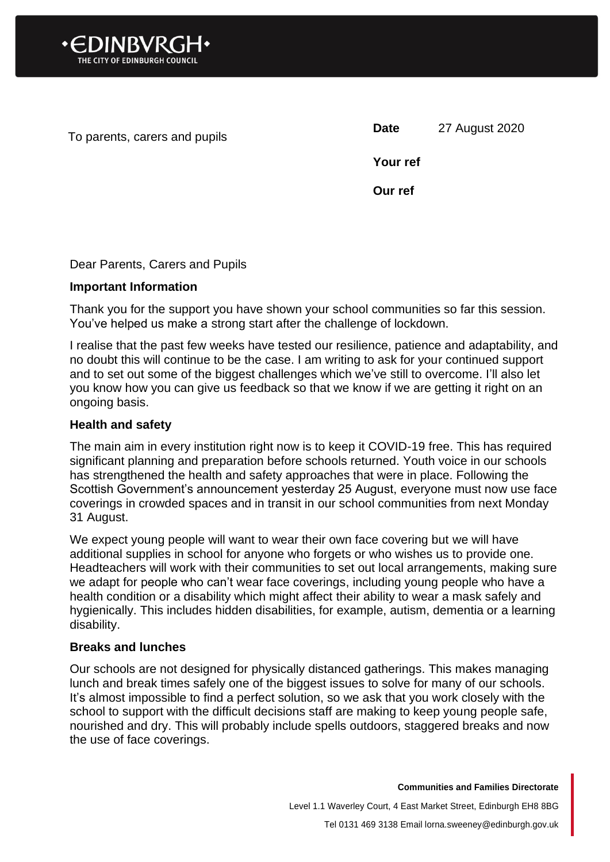

To parents, carers and pupils **Date** 27 August 2020

**Your ref**

**Our ref**

### Dear Parents, Carers and Pupils

#### **Important Information**

Thank you for the support you have shown your school communities so far this session. You've helped us make a strong start after the challenge of lockdown.

I realise that the past few weeks have tested our resilience, patience and adaptability, and no doubt this will continue to be the case. I am writing to ask for your continued support and to set out some of the biggest challenges which we've still to overcome. I'll also let you know how you can give us feedback so that we know if we are getting it right on an ongoing basis.

#### **Health and safety**

The main aim in every institution right now is to keep it COVID-19 free. This has required significant planning and preparation before schools returned. Youth voice in our schools has strengthened the health and safety approaches that were in place. Following the Scottish Government's announcement yesterday 25 August, everyone must now use face coverings in crowded spaces and in transit in our school communities from next Monday 31 August.

We expect young people will want to wear their own face covering but we will have additional supplies in school for anyone who forgets or who wishes us to provide one. Headteachers will work with their communities to set out local arrangements, making sure we adapt for people who can't wear face coverings, including young people who have a health condition or a disability which might affect their ability to wear a mask safely and hygienically. This includes hidden disabilities, for example, autism, dementia or a learning disability.

#### **Breaks and lunches**

Our schools are not designed for physically distanced gatherings. This makes managing lunch and break times safely one of the biggest issues to solve for many of our schools. It's almost impossible to find a perfect solution, so we ask that you work closely with the school to support with the difficult decisions staff are making to keep young people safe, nourished and dry. This will probably include spells outdoors, staggered breaks and now the use of face coverings.